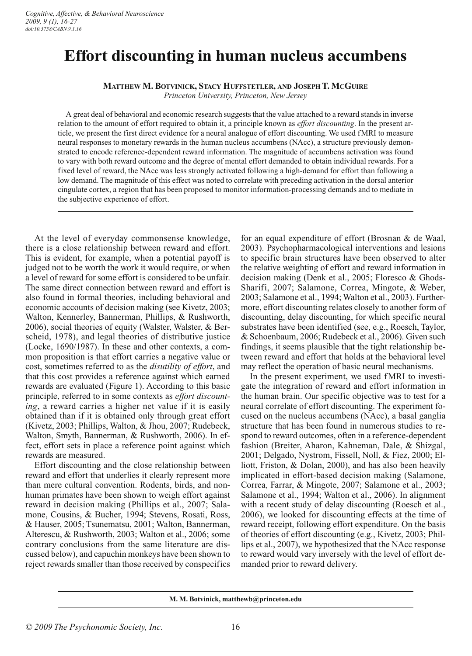# **Effort discounting in human nucleus accumbens**

**MATTHEW M. BOTVINICK, STACY HUFFSTETLER, AND JOSEPH T. MCGUIRE**

*Princeton University, Princeton, New Jersey*

A great deal of behavioral and economic research suggests that the value attached to a reward stands in inverse relation to the amount of effort required to obtain it, a principle known as *effort discounting*. In the present article, we present the first direct evidence for a neural analogue of effort discounting. We used fMRI to measure neural responses to monetary rewards in the human nucleus accumbens (NAcc), a structure previously demonstrated to encode reference-dependent reward information. The magnitude of accumbens activation was found to vary with both reward outcome and the degree of mental effort demanded to obtain individual rewards. For a fixed level of reward, the NAcc was less strongly activated following a high-demand for effort than following a low demand. The magnitude of this effect was noted to correlate with preceding activation in the dorsal anterior cingulate cortex, a region that has been proposed to monitor information-processing demands and to mediate in the subjective experience of effort.

At the level of everyday commonsense knowledge, there is a close relationship between reward and effort. This is evident, for example, when a potential payoff is judged not to be worth the work it would require, or when a level of reward for some effort is considered to be unfair. The same direct connection between reward and effort is also found in formal theories, including behavioral and economic accounts of decision making (see Kivetz, 2003; Walton, Kennerley, Bannerman, Phillips, & Rushworth, 2006), social theories of equity (Walster, Walster, & Berscheid, 1978), and legal theories of distributive justice (Locke, 1690/1987). In these and other contexts, a common proposition is that effort carries a negative value or cost, sometimes referred to as the *disutility of effort*, and that this cost provides a reference against which earned rewards are evaluated (Figure 1). According to this basic principle, referred to in some contexts as *effort discounting*, a reward carries a higher net value if it is easily obtained than if it is obtained only through great effort (Kivetz, 2003; Phillips, Walton, & Jhou, 2007; Rudebeck, Walton, Smyth, Bannerman, & Rushworth, 2006). In effect, effort sets in place a reference point against which rewards are measured.

Effort discounting and the close relationship between reward and effort that underlies it clearly represent more than mere cultural convention. Rodents, birds, and nonhuman primates have been shown to weigh effort against reward in decision making (Phillips et al., 2007; Salamone, Cousins, & Bucher, 1994; Stevens, Rosati, Ross, & Hauser, 2005; Tsunematsu, 2001; Walton, Bannerman, Alterescu, & Rushworth, 2003; Walton et al., 2006; some contrary conclusions from the same literature are discussed below), and capuchin monkeys have been shown to reject rewards smaller than those received by conspecifics

for an equal expenditure of effort (Brosnan & de Waal, 2003). Psychopharmacological interventions and lesions to specific brain structures have been observed to alter the relative weighting of effort and reward information in decision making (Denk et al., 2005; Floresco & Ghods-Sharifi, 2007; Salamone, Correa, Mingote, & Weber, 2003; Salamone et al., 1994; Walton et al., 2003). Furthermore, effort discounting relates closely to another form of discounting, delay discounting, for which specific neural substrates have been identified (see, e.g., Roesch, Taylor, & Schoenbaum, 2006; Rudebeck et al., 2006). Given such findings, it seems plausible that the tight relationship between reward and effort that holds at the behavioral level may reflect the operation of basic neural mechanisms.

In the present experiment, we used fMRI to investigate the integration of reward and effort information in the human brain. Our specific objective was to test for a neural correlate of effort discounting. The experiment focused on the nucleus accumbens (NAcc), a basal ganglia structure that has been found in numerous studies to respond to reward outcomes, often in a reference-dependent fashion (Breiter, Aharon, Kahneman, Dale, & Shizgal, 2001; Delgado, Nystrom, Fissell, Noll, & Fiez, 2000; Elliott, Friston, & Dolan, 2000), and has also been heavily implicated in effort-based decision making (Salamone, Correa, Farrar, & Mingote, 2007; Salamone et al., 2003; Salamone et al., 1994; Walton et al., 2006). In alignment with a recent study of delay discounting (Roesch et al., 2006), we looked for discounting effects at the time of reward receipt, following effort expenditure. On the basis of theories of effort discounting (e.g., Kivetz, 2003; Phillips et al., 2007), we hypothesized that the NAcc response to reward would vary inversely with the level of effort demanded prior to reward delivery.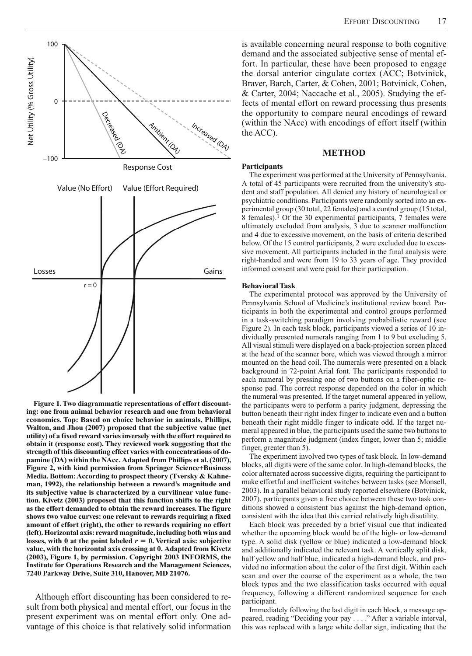

**Figure 1. Two diagrammatic representations of effort discounting: one from animal behavior research and one from behavioral economics. Top: Based on choice behavior in animals, Phillips, Walton, and Jhou (2007) proposed that the subjective value (net utility) of a fixed reward varies inversely with the effort required to obtain it (response cost). They reviewed work suggesting that the strength of this discounting effect varies with concentrations of dopamine (DA) within the NAcc. Adapted from Phillips et al. (2007), Figure 2, with kind permission from Springer Science+Business Media. Bottom: According to prospect theory (Tversky & Kahneman, 1992), the relationship between a reward's magnitude and its subjective value is characterized by a curvilinear value function. Kivetz (2003) proposed that this function shifts to the right as the effort demanded to obtain the reward increases. The figure shows two value curves: one relevant to rewards requiring a fixed amount of effort (right), the other to rewards requiring no effort (left). Horizontal axis: reward magnitude, including both wins and**  losses, with 0 at the point labeled  $r = 0$ . Vertical axis: subjective **value, with the horizontal axis crossing at 0. Adapted from Kivetz (2003), Figure 1, by permission. Copyright 2003 INFORMS, the Institute for Operations Research and the Management Sciences, 7240 Parkway Drive, Suite 310, Hanover, MD 21076.**

Although effort discounting has been considered to result from both physical and mental effort, our focus in the present experiment was on mental effort only. One advantage of this choice is that relatively solid information is available concerning neural response to both cognitive demand and the associated subjective sense of mental effort. In particular, these have been proposed to engage the dorsal anterior cingulate cortex (ACC; Botvinick, Braver, Barch, Carter, & Cohen, 2001; Botvinick, Cohen, & Carter, 2004; Naccache et al., 2005). Studying the effects of mental effort on reward processing thus presents the opportunity to compare neural encodings of reward (within the NAcc) with encodings of effort itself (within the ACC).

# **METHOD**

## **Participants**

The experiment was performed at the University of Pennsylvania. A total of 45 participants were recruited from the university's student and staff population. All denied any history of neurological or psychiatric conditions. Participants were randomly sorted into an experimental group (30 total, 22 females) and a control group (15 total, 8 females).<sup>1</sup> Of the 30 experimental participants, 7 females were ultimately excluded from analysis, 3 due to scanner malfunction and 4 due to excessive movement, on the basis of criteria described below. Of the 15 control participants, 2 were excluded due to excessive movement. All participants included in the final analysis were right-handed and were from 19 to 33 years of age. They provided informed consent and were paid for their participation.

### **Behavioral Task**

The experimental protocol was approved by the University of Pennsylvania School of Medicine's institutional review board. Participants in both the experimental and control groups performed in a task-switching paradigm involving probabilistic reward (see Figure 2). In each task block, participants viewed a series of 10 individually presented numerals ranging from 1 to 9 but excluding 5. All visual stimuli were displayed on a back-projection screen placed at the head of the scanner bore, which was viewed through a mirror mounted on the head coil. The numerals were presented on a black background in 72-point Arial font. The participants responded to each numeral by pressing one of two buttons on a fiber-optic response pad. The correct response depended on the color in which the numeral was presented. If the target numeral appeared in yellow, the participants were to perform a parity judgment, depressing the button beneath their right index finger to indicate even and a button beneath their right middle finger to indicate odd. If the target numeral appeared in blue, the participants used the same two buttons to perform a magnitude judgment (index finger, lower than 5; middle finger, greater than 5).

The experiment involved two types of task block. In low-demand blocks, all digits were of the same color. In high-demand blocks, the color alternated across successive digits, requiring the participant to make effortful and inefficient switches between tasks (see Monsell, 2003). In a parallel behavioral study reported elsewhere (Botvinick, 2007), participants given a free choice between these two task conditions showed a consistent bias against the high-demand option, consistent with the idea that this carried relatively high disutility.

Each block was preceded by a brief visual cue that indicated whether the upcoming block would be of the high- or low-demand type. A solid disk (yellow or blue) indicated a low-demand block and additionally indicated the relevant task. A vertically split disk, half yellow and half blue, indicated a high-demand block, and provided no information about the color of the first digit. Within each scan and over the course of the experiment as a whole, the two block types and the two classification tasks occurred with equal frequency, following a different randomized sequence for each participant.

Immediately following the last digit in each block, a message appeared, reading "Deciding your pay . . . ." After a variable interval, this was replaced with a large white dollar sign, indicating that the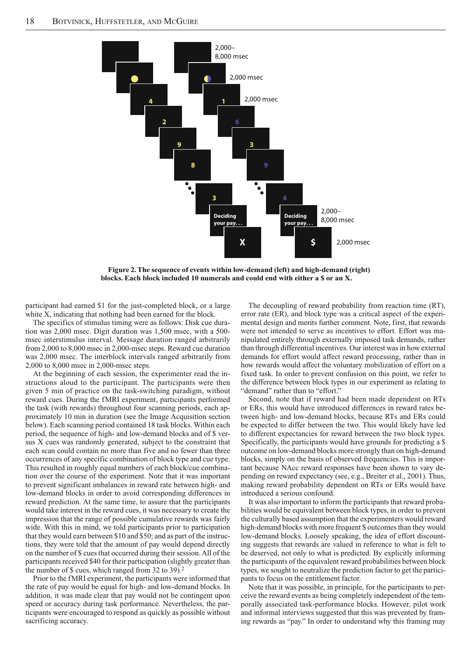

**Figure 2. The sequence of events within low-demand (left) and high-demand (right) blocks. Each block included 10 numerals and could end with either a \$ or an X.**

participant had earned \$1 for the just-completed block, or a large white X, indicating that nothing had been earned for the block.

The specifics of stimulus timing were as follows: Disk cue duration was 2,000 msec. Digit duration was 1,500 msec, with a 500 msec interstimulus interval. Message duration ranged arbitrarily from 2,000 to 8,000 msec in 2,000-msec steps. Reward cue duration was 2,000 msec. The interblock intervals ranged arbitrarily from 2,000 to 8,000 msec in 2,000-msec steps.

At the beginning of each session, the experimenter read the instructions aloud to the participant. The participants were then given 5 min of practice on the task-switching paradigm, without reward cues. During the fMRI experiment, participants performed the task (with rewards) throughout four scanning periods, each approximately 10 min in duration (see the Image Acquisition section below). Each scanning period contained 18 task blocks. Within each period, the sequence of high- and low-demand blocks and of \$ versus X cues was randomly generated, subject to the constraint that each scan could contain no more than five and no fewer than three occurrences of any specific combination of block type and cue type. This resulted in roughly equal numbers of each block/cue combination over the course of the experiment. Note that it was important to prevent significant imbalances in reward rate between high- and low-demand blocks in order to avoid corresponding differences in reward prediction. At the same time, to assure that the participants would take interest in the reward cues, it was necessary to create the impression that the range of possible cumulative rewards was fairly wide. With this in mind, we told participants prior to participation that they would earn between \$10 and \$50; and as part of the instructions, they were told that the amount of pay would depend directly on the number of \$ cues that occurred during their session. All of the participants received \$40 for their participation (slightly greater than the number of \$ cues, which ranged from 32 to 39).<sup>2</sup>

Prior to the fMRI experiment, the participants were informed that the rate of pay would be equal for high- and low-demand blocks. In addition, it was made clear that pay would not be contingent upon speed or accuracy during task performance. Nevertheless, the participants were encouraged to respond as quickly as possible without sacrificing accuracy.

The decoupling of reward probability from reaction time (RT), error rate (ER), and block type was a critical aspect of the experimental design and merits further comment. Note, first, that rewards were not intended to serve as incentives to effort. Effort was manipulated entirely through externally imposed task demands, rather than through differential incentives. Our interest was in how external demands for effort would affect reward processing, rather than in how rewards would affect the voluntary mobilization of effort on a fixed task. In order to prevent confusion on this point, we refer to the difference between block types in our experiment as relating to "demand" rather than to "effort."

Second, note that if reward had been made dependent on RTs or ERs, this would have introduced differences in reward rates between high- and low-demand blocks, because RTs and ERs could be expected to differ between the two. This would likely have led to different expectancies for reward between the two block types. Specifically, the participants would have grounds for predicting a \$ outcome on low-demand blocks more strongly than on high-demand blocks, simply on the basis of observed frequencies. This is important because NAcc reward responses have been shown to vary depending on reward expectancy (see, e.g., Breiter et al., 2001). Thus, making reward probability dependent on RTs or ERs would have introduced a serious confound.

It was also important to inform the participants that reward probabilities would be equivalent between block types, in order to prevent the culturally based assumption that the experimenters would reward high-demand blocks with more frequent \$ outcomes than they would low-demand blocks. Loosely speaking, the idea of effort discounting suggests that rewards are valued in reference to what is felt to be deserved, not only to what is predicted. By explicitly informing the participants of the equivalent reward probabilities between block types, we sought to neutralize the prediction factor to get the participants to focus on the entitlement factor.

Note that it was possible, in principle, for the participants to perceive the reward events as being completely independent of the temporally associated task-performance blocks. However, pilot work and informal interviews suggested that this was prevented by framing rewards as "pay." In order to understand why this framing may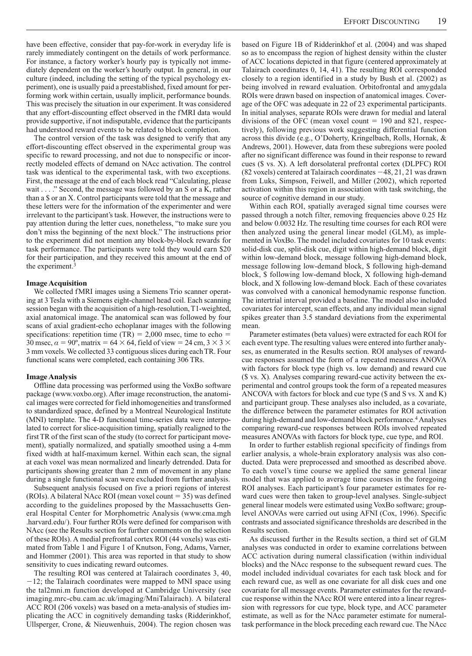have been effective, consider that pay-for-work in everyday life is rarely immediately contingent on the details of work performance. For instance, a factory worker's hourly pay is typically not immediately dependent on the worker's hourly output. In general, in our culture (indeed, including the setting of the typical psychology experiment), one is usually paid a preestablished, fixed amount for performing work within certain, usually implicit, performance bounds. This was precisely the situation in our experiment. It was considered that any effort-discounting effect observed in the fMRI data would provide supportive, if not indisputable, evidence that the participants had understood reward events to be related to block completion.

The control version of the task was designed to verify that any effort-discounting effect observed in the experimental group was specific to reward processing, and not due to nonspecific or incorrectly modeled effects of demand on NAcc activation. The control task was identical to the experimental task, with two exceptions. First, the message at the end of each block read "Calculating, please wait . . . . " Second, the message was followed by an S or a K, rather than a \$ or an X. Control participants were told that the message and these letters were for the information of the experimenter and were irrelevant to the participant's task. However, the instructions were to pay attention during the letter cues, nonetheless, "to make sure you don't miss the beginning of the next block." The instructions prior to the experiment did not mention any block-by-block rewards for task performance. The participants were told they would earn \$20 for their participation, and they received this amount at the end of the experiment.<sup>3</sup>

#### **Image Acquisition**

We collected fMRI images using a Siemens Trio scanner operating at 3 Tesla with a Siemens eight-channel head coil. Each scanning session began with the acquisition of a high-resolution, T1-weighted, axial anatomical image. The anatomical scan was followed by four scans of axial gradient-echo echoplanar images with the following specifications: repetition time (TR)  $= 2,000$  msec, time to echo  $=$ 30 msec,  $\alpha$  = 90°, matrix = 64  $\times$  64, field of view = 24 cm, 3  $\times$  3  $\times$ 3 mm voxels. We collected 33 contiguous slices during each TR. Four functional scans were completed, each containing 306 TRs.

#### **Image Analysis**

Offline data processing was performed using the VoxBo software package (www.voxbo.org). After image reconstruction, the anatomical images were corrected for field inhomogeneities and transformed to standardized space, defined by a Montreal Neurological Institute (MNI) template. The 4-D functional time-series data were interpolated to correct for slice-acquisition timing, spatially realigned to the first TR of the first scan of the study (to correct for participant movement), spatially normalized, and spatially smoothed using a 4-mm fixed width at half-maximum kernel. Within each scan, the signal at each voxel was mean normalized and linearly detrended. Data for participants showing greater than 2 mm of movement in any plane during a single functional scan were excluded from further analysis.

Subsequent analysis focused on five a priori regions of interest (ROIs). A bilateral NAcc ROI (mean voxel count  $=$  35) was defined according to the guidelines proposed by the Massachusetts General Hospital Center for Morphometric Analysis (www.cma.mgh .harvard.edu/). Four further ROIs were defined for comparison with NAcc (see the Results section for further comments on the selection of these ROIs). A medial prefrontal cortex ROI (44 voxels) was estimated from Table 1 and Figure 1 of Knutson, Fong, Adams, Varner, and Hommer (2001). This area was reported in that study to show sensitivity to cues indicating reward outcomes.

The resulting ROI was centered at Talairach coordinates 3, 40,  $-12$ ; the Talairach coordinates were mapped to MNI space using the tal2mni.m function developed at Cambridge University (see imaging.mrc-cbu.cam.ac.uk/imaging/MniTalairach). A bilateral ACC ROI (206 voxels) was based on a meta-analysis of studies implicating the ACC in cognitively demanding tasks (Ridderinkhof, Ullsperger, Crone, & Nieuwenhuis, 2004). The region chosen was based on Figure 1B of Ridderinkhof et al. (2004) and was shaped so as to encompass the region of highest density within the cluster of ACC locations depicted in that figure (centered approximately at Talairach coordinates 0, 14, 41). The resulting ROI corresponded closely to a region identified in a study by Bush et al. (2002) as being involved in reward evaluation. Orbitofrontal and amygdala ROIs were drawn based on inspection of anatomical images. Coverage of the OFC was adequate in 22 of 23 experimental participants. In initial analyses, separate ROIs were drawn for medial and lateral divisions of the OFC (mean voxel count  $= 190$  and 821, respectively), following previous work suggesting differential function across this divide (e.g., O'Doherty, Kringelbach, Rolls, Hornak, & Andrews, 2001). However, data from these subregions were pooled after no significant difference was found in their response to reward cues (\$ vs. X). A left dorsolateral prefrontal cortex (DLPFC) ROI (82 voxels) centered at Talairach coordinates  $-48$ , 21, 21 was drawn from Luks, Simpson, Feiwell, and Miller (2002), which reported activation within this region in association with task switching, the source of cognitive demand in our study.

Within each ROI, spatially averaged signal time courses were passed through a notch filter, removing frequencies above 0.25 Hz and below 0.0032 Hz. The resulting time courses for each ROI were then analyzed using the general linear model (GLM), as implemented in VoxBo. The model included covariates for 10 task events: solid-disk cue, split-disk cue, digit within high-demand block, digit within low-demand block, message following high-demand block, message following low-demand block, \$ following high-demand block, \$ following low-demand block, X following high-demand block, and X following low-demand block. Each of these covariates was convolved with a canonical hemodynamic response function. The intertrial interval provided a baseline. The model also included covariates for intercept, scan effects, and any individual mean signal spikes greater than 3.5 standard deviations from the experimental mean.

Parameter estimates (beta values) were extracted for each ROI for each event type. The resulting values were entered into further analyses, as enumerated in the Results section. ROI analyses of rewardcue responses assumed the form of a repeated measures ANOVA with factors for block type (high vs. low demand) and reward cue (\$ vs. X)*.* Analyses comparing reward-cue activity between the experimental and control groups took the form of a repeated measures ANCOVA with factors for block and cue type (\$ and S vs. X and K) and participant group. These analyses also included, as a covariate, the difference between the parameter estimates for ROI activation during high-demand and low-demand block performance.4 Analyses comparing reward-cue responses between ROIs involved repeated measures ANOVAs with factors for block type, cue type, and ROI.

In order to further establish regional specificity of findings from earlier analysis, a whole-brain exploratory analysis was also conducted. Data were preprocessed and smoothed as described above. To each voxel's time course we applied the same general linear model that was applied to average time courses in the foregoing ROI analyses. Each participant's four parameter estimates for reward cues were then taken to group-level analyses. Single-subject general linear models were estimated using VoxBo software; grouplevel ANOVAs were carried out using AFNI (Cox, 1996). Specific contrasts and associated significance thresholds are described in the Results section.

As discussed further in the Results section, a third set of GLM analyses was conducted in order to examine correlations between ACC activation during numeral classification (within individual blocks) and the NAcc response to the subsequent reward cues. The model included individual covariates for each task block and for each reward cue, as well as one covariate for all disk cues and one covariate for all message events. Parameter estimates for the rewardcue response within the NAcc ROI were entered into a linear regression with regressors for cue type, block type, and ACC parameter estimate, as well as for the NAcc parameter estimate for numeraltask performance in the block preceding each reward cue. The NAcc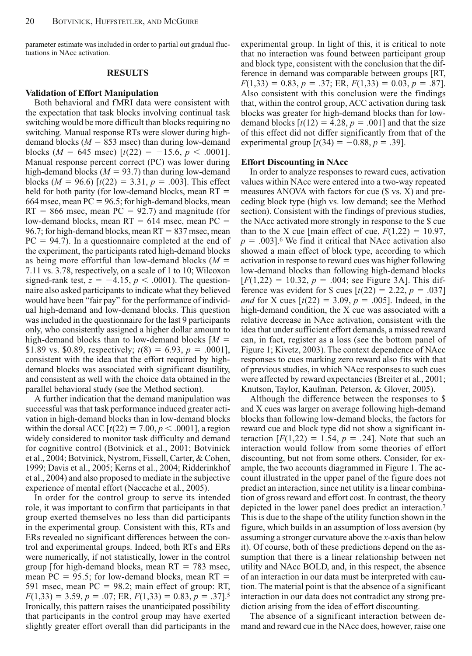parameter estimate was included in order to partial out gradual fluctuations in NAcc activation.

## **RESULTS**

# **Validation of Effort Manipulation**

Both behavioral and fMRI data were consistent with the expectation that task blocks involving continual task switching would be more difficult than blocks requiring no switching. Manual response RTs were slower during highdemand blocks ( $M = 853$  msec) than during low-demand blocks ( $M = 645$  msec)  $[t(22) = -15.6, p < .0001]$ . Manual response percent correct (PC) was lower during high-demand blocks  $(M = 93.7)$  than during low-demand blocks ( $M = 96.6$ ) [ $t(22) = 3.31$ ,  $p = .003$ ]. This effect held for both parity (for low-demand blocks, mean  $RT =$ 664 msec, mean  $PC = 96.5$ ; for high-demand blocks, mean  $RT = 866$  msec, mean  $PC = 92.7$ ) and magnitude (for low-demand blocks, mean  $RT = 614$  msec, mean  $PC =$ 96.7; for high-demand blocks, mean  $RT = 837$  msec, mean  $PC = 94.7$ ). In a questionnaire completed at the end of the experiment, the participants rated high-demand blocks as being more effortful than low-demand blocks (*M* 7.11 vs. 3.78, respectively, on a scale of 1 to 10; Wilcoxon signed-rank test,  $z = -4.15$ ,  $p < .0001$ ). The questionnaire also asked participants to indicate what they believed would have been "fair pay" for the performance of individual high-demand and low-demand blocks. This question was included in the questionnaire for the last 9 participants only, who consistently assigned a higher dollar amount to high-demand blocks than to low-demand blocks [*M* \$1.89 vs. \$0.89, respectively;  $t(8) = 6.93$ ,  $p = .0001$ ], consistent with the idea that the effort required by highdemand blocks was associated with significant disutility, and consistent as well with the choice data obtained in the parallel behavioral study (see the Method section).

A further indication that the demand manipulation was successful was that task performance induced greater activation in high-demand blocks than in low-demand blocks within the dorsal ACC  $[t(22) = 7.00, p < .0001]$ , a region widely considered to monitor task difficulty and demand for cognitive control (Botvinick et al., 2001; Botvinick et al., 2004; Botvinick, Nystrom, Fissell, Carter, & Cohen, 1999; Davis et al., 2005; Kerns et al., 2004; Ridderinkhof et al., 2004) and also proposed to mediate in the subjective experience of mental effort (Naccache et al., 2005).

In order for the control group to serve its intended role, it was important to confirm that participants in that group exerted themselves no less than did participants in the experimental group. Consistent with this, RTs and ERs revealed no significant differences between the control and experimental groups. Indeed, both RTs and ERs were numerically, if not statistically, lower in the control group [for high-demand blocks, mean  $RT = 783$  msec, mean PC = 95.5; for low-demand blocks, mean  $RT =$ 591 msec, mean  $PC = 98.2$ ; main effect of group: RT,  $F(1,33) = 3.59, p = .07$ ; ER,  $F(1,33) = 0.83, p = .37$ .<sup>5</sup> Ironically, this pattern raises the unanticipated possibility that participants in the control group may have exerted slightly greater effort overall than did participants in the

experimental group. In light of this, it is critical to note that no interaction was found between participant group and block type, consistent with the conclusion that the difference in demand was comparable between groups [RT,  $F(1,33) = 0.83, p = .37$ ; ER,  $F(1,33) = 0.03, p = .87$ . Also consistent with this conclusion were the findings that, within the control group, ACC activation during task blocks was greater for high-demand blocks than for lowdemand blocks  $[t(12) = 4.28, p = .001]$  and that the size of this effect did not differ significantly from that of the experimental group  $[t(34) = -0.88, p = .39]$ .

# **Effort Discounting in NAcc**

In order to analyze responses to reward cues, activation values within NAcc were entered into a two-way repeated measures ANOVA with factors for cue (\$ vs. X) and preceding block type (high vs. low demand; see the Method section). Consistent with the findings of previous studies, the NAcc activated more strongly in response to the \$ cue than to the X cue [main effect of cue,  $F(1,22) = 10.97$ ,  $p = .003$ <sup>1.6</sup> We find it critical that NAcc activation also showed a main effect of block type, according to which activation in response to reward cues was higher following low-demand blocks than following high-demand blocks  $[F(1,22) = 10.32, p = .004$ ; see Figure 3A]. This difference was evident for  $\frac{1}{2}$  cues  $\left[\frac{t(22)}{2} = 2.22, p = .037\right]$ *and* for X cues  $[t(22) = 3.09, p = .005]$ . Indeed, in the high-demand condition, the X cue was associated with a relative decrease in NAcc activation, consistent with the idea that under sufficient effort demands, a missed reward can, in fact, register as a loss (see the bottom panel of Figure 1; Kivetz, 2003). The context dependence of NAcc responses to cues marking zero reward also fits with that of previous studies, in which NAcc responses to such cues were affected by reward expectancies (Breiter et al., 2001; Knutson, Taylor, Kaufman, Peterson, & Glover, 2005).

Although the difference between the responses to \$ and X cues was larger on average following high-demand blocks than following low-demand blocks, the factors for reward cue and block type did not show a significant interaction  $[F(1,22) = 1.54, p = .24]$ . Note that such an interaction would follow from some theories of effort discounting, but not from some others. Consider, for example, the two accounts diagrammed in Figure 1. The account illustrated in the upper panel of the figure does not predict an interaction, since net utility is a linear combination of gross reward and effort cost. In contrast, the theory depicted in the lower panel does predict an interaction.7 This is due to the shape of the utility function shown in the figure, which builds in an assumption of loss aversion (by assuming a stronger curvature above the *x*-axis than below it). Of course, both of these predictions depend on the assumption that there is a linear relationship between net utility and NAcc BOLD, and, in this respect, the absence of an interaction in our data must be interpreted with caution. The material point is that the absence of a significant interaction in our data does not contradict any strong prediction arising from the idea of effort discounting.

The absence of a significant interaction between demand and reward cue in the NAcc does, however, raise one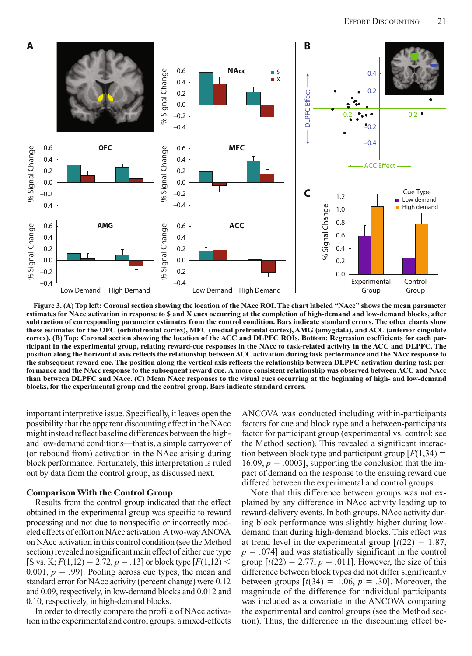

**Figure 3. (A) Top left: Coronal section showing the location of the NAcc ROI. The chart labeled "NAcc" shows the mean parameter estimates for NAcc activation in response to \$ and X cues occurring at the completion of high-demand and low-demand blocks, after subtraction of corresponding parameter estimates from the control condition. Bars indicate standard errors. The other charts show these estimates for the OFC (orbitofrontal cortex), MFC (medial prefrontal cortex), AMG (amygdala), and ACC (anterior cingulate cortex). (B) Top: Coronal section showing the location of the ACC and DLPFC ROIs. Bottom: Regression coefficients for each participant in the experimental group, relating reward-cue responses in the NAcc to task-related activity in the ACC and DLPFC. The position along the horizontal axis reflects the relationship between ACC activation during task performance and the NAcc response to the subsequent reward cue. The position along the vertical axis reflects the relationship between DLPFC activation during task performance and the NAcc response to the subsequent reward cue. A more consistent relationship was observed between ACC and NAcc than between DLPFC and NAcc. (C) Mean NAcc responses to the visual cues occurring at the beginning of high- and low-demand blocks, for the experimental group and the control group. Bars indicate standard errors.**

important interpretive issue. Specifically, it leaves open the possibility that the apparent discounting effect in the NAcc might instead reflect baseline differences between the highand low-demand conditions—that is, a simple carryover of (or rebound from) activation in the NAcc arising during block performance. Fortunately, this interpretation is ruled out by data from the control group, as discussed next.

# **Comparison With the Control Group**

Results from the control group indicated that the effect obtained in the experimental group was specific to reward processing and not due to nonspecific or incorrectly modeled effects of effort on NAcc activation. A two-way ANOVA on NAcc activation in this control condition (see the Method section) revealed no significant main effect of either cue type [S vs. K;  $F(1,12) = 2.72$ ,  $p = .13$ ] or block type  $[F(1,12)$  < 0.001,  $p = .99$ ]. Pooling across cue types, the mean and standard error for NAcc activity (percent change) were 0.12 and 0.09, respectively, in low-demand blocks and 0.012 and 0.10, respectively, in high-demand blocks.

In order to directly compare the profile of NAcc activation in the experimental and control groups, a mixed-effects ANCOVA was conducted including within-participants factors for cue and block type and a between-participants factor for participant group (experimental vs. control; see the Method section). This revealed a significant interaction between block type and participant group  $[F(1,34)] =$ 16.09,  $p = .0003$ , supporting the conclusion that the impact of demand on the response to the ensuing reward cue differed between the experimental and control groups.

Note that this difference between groups was not explained by any difference in NAcc activity leading up to reward-delivery events. In both groups, NAcc activity during block performance was slightly higher during lowdemand than during high-demand blocks. This effect was at trend level in the experimental group  $[t(22) = 1.87]$ ,  $p = .074$ ] and was statistically significant in the control group  $[t(22) = 2.77, p = .011]$ . However, the size of this difference between block types did not differ significantly between groups  $[t(34) = 1.06, p = .30]$ . Moreover, the magnitude of the difference for individual participants was included as a covariate in the ANCOVA comparing the experimental and control groups (see the Method section). Thus, the difference in the discounting effect be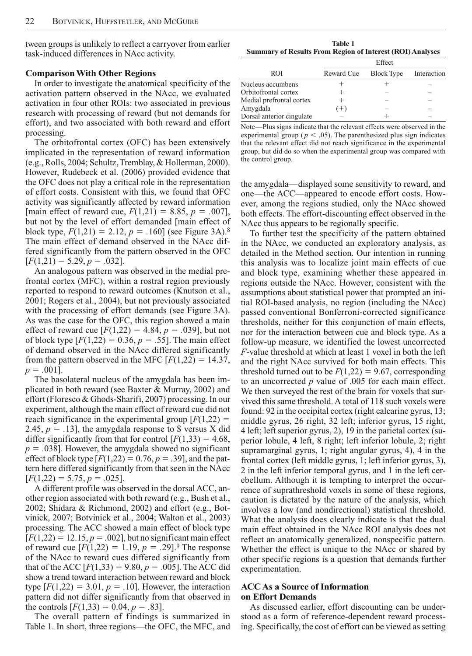tween groups is unlikely to reflect a carryover from earlier task-induced differences in NAcc activity.

## **Comparison With Other Regions**

In order to investigate the anatomical specificity of the activation pattern observed in the NAcc, we evaluated activation in four other ROIs: two associated in previous research with processing of reward (but not demands for effort), and two associated with both reward and effort processing.

The orbitofrontal cortex (OFC) has been extensively implicated in the representation of reward information (e.g., Rolls, 2004; Schultz, Tremblay, & Hollerman, 2000). However, Rudebeck et al. (2006) provided evidence that the OFC does not play a critical role in the representation of effort costs. Consistent with this, we found that OFC activity was significantly affected by reward information [main effect of reward cue,  $F(1,21) = 8.85, p = .007$ ], but not by the level of effort demanded [main effect of block type,  $F(1,21) = 2.12$ ,  $p = .160$ ] (see Figure 3A).<sup>8</sup> The main effect of demand observed in the NAcc differed significantly from the pattern observed in the OFC  $[F(1,21) = 5.29, p = .032].$ 

An analogous pattern was observed in the medial prefrontal cortex (MFC), within a rostral region previously reported to respond to reward outcomes (Knutson et al., 2001; Rogers et al., 2004), but not previously associated with the processing of effort demands (see Figure 3A). As was the case for the OFC, this region showed a main effect of reward cue  $[F(1,22) = 4.84, p = .039]$ , but not of block type  $[F(1,22) = 0.36, p = .55]$ . The main effect of demand observed in the NAcc differed significantly from the pattern observed in the MFC  $[F(1,22) = 14.37]$ ,  $p = .001$ .

The basolateral nucleus of the amygdala has been implicated in both reward (see Baxter & Murray, 2002) and effort (Floresco & Ghods-Sharifi, 2007) processing. In our experiment, although the main effect of reward cue did not reach significance in the experimental group  $F(1,22)$  = 2.45,  $p = .13$ ], the amygdala response to \$ versus X did differ significantly from that for control  $[F(1,33) = 4.68]$ ,  $p = .038$ ]. However, the amygdala showed no significant effect of block type  $[F(1,22) = 0.76, p = .39]$ , and the pattern here differed significantly from that seen in the NAcc  $[F(1,22) = 5.75, p = .025].$ 

A different profile was observed in the dorsal ACC, another region associated with both reward (e.g., Bush et al., 2002; Shidara & Richmond, 2002) and effort (e.g., Botvinick, 2007; Botvinick et al., 2004; Walton et al., 2003) processing. The ACC showed a main effect of block type  $[F(1,22) = 12.15, p = .002]$ , but no significant main effect of reward cue  $[F(1,22) = 1.19, p = .29]$ .<sup>9</sup> The response of the NAcc to reward cues differed significantly from that of the ACC  $[F(1,33) = 9.80, p = .005]$ . The ACC did show a trend toward interaction between reward and block type  $[F(1,22) = 3.01, p = .10]$ . However, the interaction pattern did not differ significantly from that observed in the controls  $[F(1,33) = 0.04, p = .83]$ .

The overall pattern of findings is summarized in Table 1. In short, three regions—the OFC, the MFC, and

**Table 1 Summary of Results From Region of Interest (ROI) Analyses**

| <b>ROI</b>                | Effect     |                   |                          |
|---------------------------|------------|-------------------|--------------------------|
|                           | Reward Cue | <b>Block Type</b> | Interaction              |
| Nucleus accumbens         |            |                   |                          |
| Orbitofrontal cortex      |            |                   |                          |
| Medial prefrontal cortex  |            |                   |                          |
| Amygdala                  | $(+)$      |                   |                          |
| Dorsal anterior cingulate |            |                   | $\overline{\phantom{a}}$ |

Note—Plus signs indicate that the relevant effects were observed in the experimental group ( $p < .05$ ). The parenthesized plus sign indicates that the relevant effect did not reach significance in the experimental group, but did do so when the experimental group was compared with the control group.

the amygdala—displayed some sensitivity to reward, and one—the ACC—appeared to encode effort costs. However, among the regions studied, only the NAcc showed both effects. The effort-discounting effect observed in the NAcc thus appears to be regionally specific.

To further test the specificity of the pattern obtained in the NAcc, we conducted an exploratory analysis, as detailed in the Method section. Our intention in running this analysis was to localize joint main effects of cue and block type, examining whether these appeared in regions outside the NAcc. However, consistent with the assumptions about statistical power that prompted an initial ROI-based analysis, no region (including the NAcc) passed conventional Bonferroni-corrected significance thresholds, neither for this conjunction of main effects, nor for the interaction between cue and block type. As a follow-up measure, we identified the lowest uncorrected *F*-value threshold at which at least 1 voxel in both the left and the right NAcc survived for both main effects. This threshold turned out to be  $F(1,22) = 9.67$ , corresponding to an uncorrected *p* value of .005 for each main effect. We then surveyed the rest of the brain for voxels that survived this same threshold. A total of 118 such voxels were found: 92 in the occipital cortex (right calcarine gyrus, 13; middle gyrus, 26 right, 32 left; inferior gyrus, 15 right, 4 left; left superior gyrus, 2), 19 in the parietal cortex (superior lobule, 4 left, 8 right; left inferior lobule, 2; right supramarginal gyrus, 1; right angular gyrus, 4), 4 in the frontal cortex (left middle gyrus, 1; left inferior gyrus, 3), 2 in the left inferior temporal gyrus, and 1 in the left cerebellum. Although it is tempting to interpret the occurrence of suprathreshold voxels in some of these regions, caution is dictated by the nature of the analysis, which involves a low (and nondirectional) statistical threshold. What the analysis does clearly indicate is that the dual main effect obtained in the NAcc ROI analysis does not reflect an anatomically generalized, nonspecific pattern. Whether the effect is unique to the NAcc or shared by other specific regions is a question that demands further experimentation.

# **ACC As a Source of Information on Effort Demands**

As discussed earlier, effort discounting can be understood as a form of reference-dependent reward processing. Specifically, the cost of effort can be viewed as setting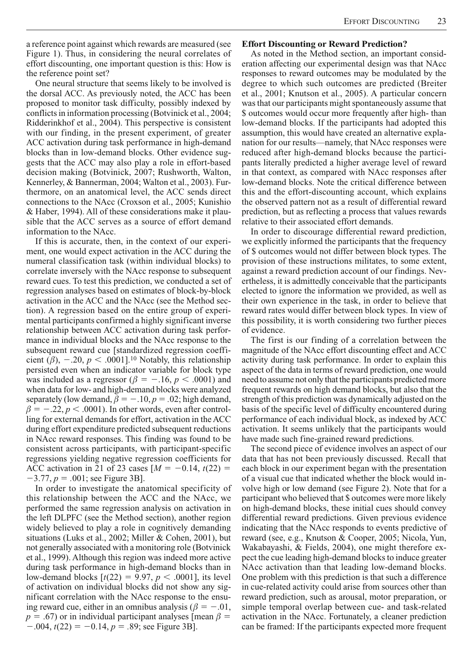a reference point against which rewards are measured (see Figure 1). Thus, in considering the neural correlates of effort discounting, one important question is this: How is the reference point set?

One neural structure that seems likely to be involved is the dorsal ACC. As previously noted, the ACC has been proposed to monitor task difficulty, possibly indexed by conflicts in information processing (Botvinick et al., 2004; Ridderinkhof et al., 2004). This perspective is consistent with our finding, in the present experiment, of greater ACC activation during task performance in high-demand blocks than in low-demand blocks. Other evidence suggests that the ACC may also play a role in effort-based decision making (Botvinick, 2007; Rushworth, Walton, Kennerley, & Bannerman, 2004; Walton et al., 2003). Furthermore, on an anatomical level, the ACC sends direct connections to the NAcc (Croxson et al., 2005; Kunishio & Haber, 1994). All of these considerations make it plausible that the ACC serves as a source of effort demand information to the NAcc.

If this is accurate, then, in the context of our experiment, one would expect activation in the ACC during the numeral classification task (within individual blocks) to correlate inversely with the NAcc response to subsequent reward cues. To test this prediction, we conducted a set of regression analyses based on estimates of block-by-block activation in the ACC and the NAcc (see the Method section). A regression based on the entire group of experimental participants confirmed a highly significant inverse relationship between ACC activation during task performance in individual blocks and the NAcc response to the subsequent reward cue [standardized regression coefficient  $(\beta)$ ,  $-.20$ ,  $p < .0001$ <sup>10</sup> Notably, this relationship persisted even when an indicator variable for block type was included as a regressor ( $\beta = -.16$ ,  $p < .0001$ ) and when data for low- and high-demand blocks were analyzed separately (low demand,  $\beta = -.10$ ,  $p = .02$ ; high demand,  $\beta = -0.22$ ,  $p < 0.0001$ ). In other words, even after controlling for external demands for effort, activation in the ACC during effort expenditure predicted subsequent reductions in NAcc reward responses. This finding was found to be consistent across participants, with participant-specific regressions yielding negative regression coefficients for ACC activation in 21 of 23 cases  $[M = -0.14, t(22) =$  $-3.77, p = .001$ ; see Figure 3B].

In order to investigate the anatomical specificity of this relationship between the ACC and the NAcc, we performed the same regression analysis on activation in the left DLPFC (see the Method section), another region widely believed to play a role in cognitively demanding situations (Luks et al., 2002; Miller & Cohen, 2001), but not generally associated with a monitoring role (Botvinick et al., 1999). Although this region was indeed more active during task performance in high-demand blocks than in low-demand blocks  $[t(22) = 9.97, p < .0001]$ , its level of activation on individual blocks did not show any significant correlation with the NAcc response to the ensuing reward cue, either in an omnibus analysis ( $\beta = -.01$ ,  $p = .67$ ) or in individual participant analyses [mean  $\beta =$  $-0.004$ ,  $t(22) = -0.14$ ,  $p = 0.89$ ; see Figure 3B].

# **Effort Discounting or Reward Prediction?**

As noted in the Method section, an important consideration affecting our experimental design was that NAcc responses to reward outcomes may be modulated by the degree to which such outcomes are predicted (Breiter et al., 2001; Knutson et al., 2005). A particular concern was that our participants might spontaneously assume that \$ outcomes would occur more frequently after high- than low-demand blocks. If the participants had adopted this assumption, this would have created an alternative explanation for our results—namely, that NAcc responses were reduced after high-demand blocks because the participants literally predicted a higher average level of reward in that context, as compared with NAcc responses after low-demand blocks. Note the critical difference between this and the effort-discounting account, which explains the observed pattern not as a result of differential reward prediction, but as reflecting a process that values rewards relative to their associated effort demands.

In order to discourage differential reward prediction, we explicitly informed the participants that the frequency of \$ outcomes would not differ between block types. The provision of these instructions militates, to some extent, against a reward prediction account of our findings. Nevertheless, it is admittedly conceivable that the participants elected to ignore the information we provided, as well as their own experience in the task, in order to believe that reward rates would differ between block types. In view of this possibility, it is worth considering two further pieces of evidence.

The first is our finding of a correlation between the magnitude of the NAcc effort discounting effect and ACC activity during task performance. In order to explain this aspect of the data in terms of reward prediction, one would need to assume not only that the participants predicted more frequent rewards on high demand blocks, but also that the strength of this prediction was dynamically adjusted on the basis of the specific level of difficulty encountered during performance of each individual block, as indexed by ACC activation. It seems unlikely that the participants would have made such fine-grained reward predictions.

The second piece of evidence involves an aspect of our data that has not been previously discussed. Recall that each block in our experiment began with the presentation of a visual cue that indicated whether the block would involve high or low demand (see Figure 2). Note that for a participant who believed that \$ outcomes were more likely on high-demand blocks, these initial cues should convey differential reward predictions. Given previous evidence indicating that the NAcc responds to events predictive of reward (see, e.g., Knutson & Cooper, 2005; Nicola, Yun, Wakabayashi, & Fields, 2004), one might therefore expect the cue leading high-demand blocks to induce greater NAcc activation than that leading low-demand blocks. One problem with this prediction is that such a difference in cue-related activity could arise from sources other than reward prediction, such as arousal, motor preparation, or simple temporal overlap between cue- and task-related activation in the NAcc. Fortunately, a cleaner prediction can be framed: If the participants expected more frequent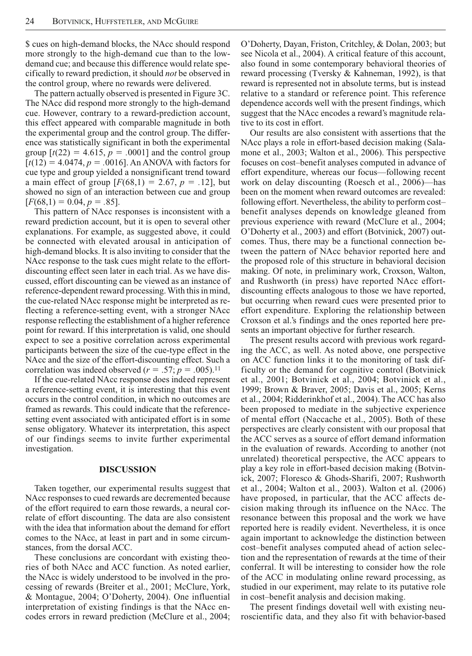\$ cues on high-demand blocks, the NAcc should respond more strongly to the high-demand cue than to the lowdemand cue; and because this difference would relate specifically to reward prediction, it should *not* be observed in the control group, where no rewards were delivered.

The pattern actually observed is presented in Figure 3C. The NAcc did respond more strongly to the high-demand cue. However, contrary to a reward-prediction account, this effect appeared with comparable magnitude in both the experimental group and the control group. The difference was statistically significant in both the experimental group  $[t(22) = 4.615, p = .0001]$  and the control group  $[t(12) = 4.0474, p = .0016]$ . An ANOVA with factors for cue type and group yielded a nonsignificant trend toward a main effect of group  $[F(68,1) = 2.67, p = .12]$ , but showed no sign of an interaction between cue and group  $[F(68,1) = 0.04, p = .85].$ 

This pattern of NAcc responses is inconsistent with a reward prediction account, but it is open to several other explanations. For example, as suggested above, it could be connected with elevated arousal in anticipation of high-demand blocks. It is also inviting to consider that the NAcc response to the task cues might relate to the effortdiscounting effect seen later in each trial. As we have discussed, effort discounting can be viewed as an instance of reference-dependent reward processing. With this in mind, the cue-related NAcc response might be interpreted as reflecting a reference-setting event, with a stronger NAcc response reflecting the establishment of a higher reference point for reward. If this interpretation is valid, one should expect to see a positive correlation across experimental participants between the size of the cue-type effect in the NAcc and the size of the effort-discounting effect. Such a correlation was indeed observed ( $r = .57$ ;  $p = .005$ ).<sup>11</sup>

If the cue-related NAcc response does indeed represent a reference-setting event, it is interesting that this event occurs in the control condition, in which no outcomes are framed as rewards. This could indicate that the reference setting event associated with anticipated effort is in some sense obligatory. Whatever its interpretation, this aspect of our findings seems to invite further experimental investigation.

# **DISCUSSION**

Taken together, our experimental results suggest that NAcc responses to cued rewards are decremented because of the effort required to earn those rewards, a neural correlate of effort discounting. The data are also consistent with the idea that information about the demand for effort comes to the NAcc, at least in part and in some circumstances, from the dorsal ACC.

These conclusions are concordant with existing theories of both NAcc and ACC function. As noted earlier, the NAcc is widely understood to be involved in the processing of rewards (Breiter et al., 2001; McClure, York, & Montague, 2004; O'Doherty, 2004). One influential interpretation of existing findings is that the NAcc encodes errors in reward prediction (McClure et al., 2004; O'Doherty, Dayan, Friston, Critchley, & Dolan, 2003; but see Nicola et al., 2004). A critical feature of this account, also found in some contemporary behavioral theories of reward processing (Tversky & Kahneman, 1992), is that reward is represented not in absolute terms, but is instead relative to a standard or reference point. This reference dependence accords well with the present findings, which suggest that the NAcc encodes a reward's magnitude relative to its cost in effort.

Our results are also consistent with assertions that the NAcc plays a role in effort-based decision making (Salamone et al., 2003; Walton et al., 2006). This perspective focuses on cost–benefit analyses computed in advance of effort expenditure, whereas our focus—following recent work on delay discounting (Roesch et al., 2006)—has been on the moment when reward outcomes are revealed: following effort. Nevertheless, the ability to perform cost– benefit analyses depends on knowledge gleaned from previous experience with reward (McClure et al., 2004; O'Doherty et al., 2003) and effort (Botvinick, 2007) outcomes. Thus, there may be a functional connection between the pattern of NAcc behavior reported here and the proposed role of this structure in behavioral decision making. Of note, in preliminary work, Croxson, Walton, and Rushworth (in press) have reported NAcc effort discounting effects analogous to those we have reported, but occurring when reward cues were presented prior to effort expenditure. Exploring the relationship between Croxson et al.'s findings and the ones reported here presents an important objective for further research.

The present results accord with previous work regarding the ACC, as well. As noted above, one perspective on ACC function links it to the monitoring of task difficulty or the demand for cognitive control (Botvinick et al., 2001; Botvinick et al., 2004; Botvinick et al., 1999; Brown & Braver, 2005; Davis et al., 2005; Kerns et al., 2004; Ridderinkhof et al., 2004). The ACC has also been proposed to mediate in the subjective experience of mental effort (Naccache et al., 2005). Both of these perspectives are clearly consistent with our proposal that the ACC serves as a source of effort demand information in the evaluation of rewards. According to another (not unrelated) theoretical perspective, the ACC appears to play a key role in effort-based decision making (Botvinick, 2007; Floresco & Ghods-Sharifi, 2007; Rushworth et al., 2004; Walton et al., 2003). Walton et al. (2006) have proposed, in particular, that the ACC affects decision making through its influence on the NAcc. The resonance between this proposal and the work we have reported here is readily evident. Nevertheless, it is once again important to acknowledge the distinction between cost–benefit analyses computed ahead of action selection and the representation of rewards at the time of their conferral. It will be interesting to consider how the role of the ACC in modulating online reward processing, as studied in our experiment, may relate to its putative role in cost–benefit analysis and decision making.

The present findings dovetail well with existing neuroscientific data, and they also fit with behavior-based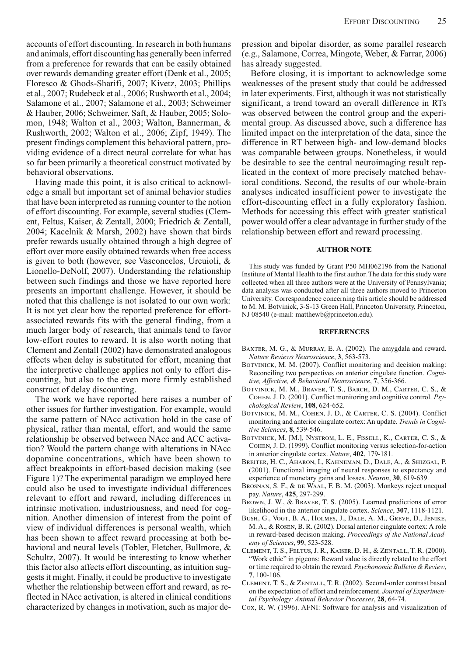accounts of effort discounting. In research in both humans and animals, effort discounting has generally been inferred from a preference for rewards that can be easily obtained over rewards demanding greater effort (Denk et al., 2005; Floresco & Ghods-Sharifi, 2007; Kivetz, 2003; Phillips et al., 2007; Rudebeck et al., 2006; Rushworth et al., 2004; Salamone et al., 2007; Salamone et al., 2003; Schweimer & Hauber, 2006; Schweimer, Saft, & Hauber, 2005; Solomon, 1948; Walton et al., 2003; Walton, Bannerman, & Rushworth, 2002; Walton et al., 2006; Zipf, 1949). The present findings complement this behavioral pattern, providing evidence of a direct neural correlate for what has so far been primarily a theoretical construct motivated by behavioral observations.

Having made this point, it is also critical to acknowledge a small but important set of animal behavior studies that have been interpreted as running counter to the notion of effort discounting. For example, several studies (Clement, Feltus, Kaiser, & Zentall, 2000; Friedrich & Zentall, 2004; Kacelnik & Marsh, 2002) have shown that birds prefer rewards usually obtained through a high degree of effort over more easily obtained rewards when free access is given to both (however, see Vasconcelos, Urcuioli, & Lionello-DeNolf, 2007). Understanding the relationship between such findings and those we have reported here presents an important challenge. However, it should be noted that this challenge is not isolated to our own work: It is not yet clear how the reported preference for effortassociated rewards fits with the general finding, from a much larger body of research, that animals tend to favor low-effort routes to reward. It is also worth noting that Clement and Zentall (2002) have demonstrated analogous effects when delay is substituted for effort, meaning that the interpretive challenge applies not only to effort discounting, but also to the even more firmly established construct of delay discounting.

The work we have reported here raises a number of other issues for further investigation. For example, would the same pattern of NAcc activation hold in the case of physical, rather than mental, effort, and would the same relationship be observed between NAcc and ACC activation? Would the pattern change with alterations in NAcc dopamine concentrations, which have been shown to affect breakpoints in effort-based decision making (see Figure 1)? The experimental paradigm we employed here could also be used to investigate individual differences relevant to effort and reward, including differences in intrinsic motivation, industriousness, and need for cognition. Another dimension of interest from the point of view of individual differences is personal wealth, which has been shown to affect reward processing at both behavioral and neural levels (Tobler, Fletcher, Bullmore, & Schultz, 2007). It would be interesting to know whether this factor also affects effort discounting, as intuition suggests it might. Finally, it could be productive to investigate whether the relationship between effort and reward, as reflected in NAcc activation, is altered in clinical conditions characterized by changes in motivation, such as major depression and bipolar disorder, as some parallel research (e.g., Salamone, Correa, Mingote, Weber, & Farrar, 2006) has already suggested.

Before closing, it is important to acknowledge some weaknesses of the present study that could be addressed in later experiments. First, although it was not statistically significant, a trend toward an overall difference in RTs was observed between the control group and the experimental group. As discussed above, such a difference has limited impact on the interpretation of the data, since the difference in RT between high- and low-demand blocks was comparable between groups. Nonetheless, it would be desirable to see the central neuroimaging result replicated in the context of more precisely matched behavioral conditions. Second, the results of our whole-brain analyses indicated insufficient power to investigate the effort- discounting effect in a fully exploratory fashion. Methods for accessing this effect with greater statistical power would offer a clear advantage in further study of the relationship between effort and reward processing.

## **AUTHOR NOTE**

This study was funded by Grant P50 MH062196 from the National Institute of Mental Health to the first author. The data for this study were collected when all three authors were at the University of Pennsylvania; data analysis was conducted after all three authors moved to Princeton University. Correspondence concerning this article should be addressed to M. M. Botvinick, 3-S-13 Green Hall, Princeton University, Princeton, NJ 08540 (e-mail: matthewb@princeton.edu).

#### **REFERENCES**

- Baxter, M. G., & Murray, E. A. (2002). The amygdala and reward. *Nature Reviews Neuroscience*, **3**, 563-573.
- BOTVINICK, M. M. (2007). Conflict monitoring and decision making: Reconciling two perspectives on anterior cingulate function. *Cognitive, Affective, & Behavioral Neuroscience*, **7**, 356-366.
- Botvinick, M. M., Braver, T. S., Barch, D. M., Carter, C. S., & Cohen, J. D. (2001). Conflict monitoring and cognitive control. *Psychological Review*, **108**, 624-652.
- Botvinick, M. M., Cohen, J. D., & Carter, C. S. (2004). Conflict monitoring and anterior cingulate cortex: An update. *Trends in Cognitive Sciences*, **8**, 539-546.
- Botvinick, M. [M.], Nystrom, L. E., Fissell, K., Carter, C. S., & Cohen, J. D. (1999). Conflict monitoring versus selection-for-action in anterior cingulate cortex. *Nature*, **402**, 179-181.
- Breiter, H. C., Aharon, I., Kahneman, D., Dale, A., & Shizgal, P. (2001). Functional imaging of neural responses to expectancy and experience of monetary gains and losses. *Neuron*, **30**, 619-639.
- Brosnan, S. F., & de Waal, F. B. M. (2003). Monkeys reject unequal pay. *Nature*, **425**, 297-299.
- Brown, J. W., & Braver, T. S. (2005). Learned predictions of error likelihood in the anterior cingulate cortex. *Science*, **307**, 1118-1121.
- Bush, G., Vogt, B. A., Holmes, J., Dale, A. M., Greve, D., Jenike, M. A., & Rosen, B. R. (2002). Dorsal anterior cingulate cortex: A role in reward-based decision making. *Proceedings of the National Academy of Sciences*, **99**, 523-528.
- Clement, T. S., Feltus, J. R., Kaiser, D. H., & Zentall, T. R. (2000). "Work ethic" in pigeons: Reward value is directly related to the effort or time required to obtain the reward. *Psychonomic Bulletin & Review*, **7**, 100-106.
- Clement, T. S., & Zentall, T. R. (2002). Second-order contrast based on the expectation of effort and reinforcement. *Journal of Experimental Psychology: Animal Behavior Processes*, **28**, 64-74.
- Cox, R. W. (1996). AFNI: Software for analysis and visualization of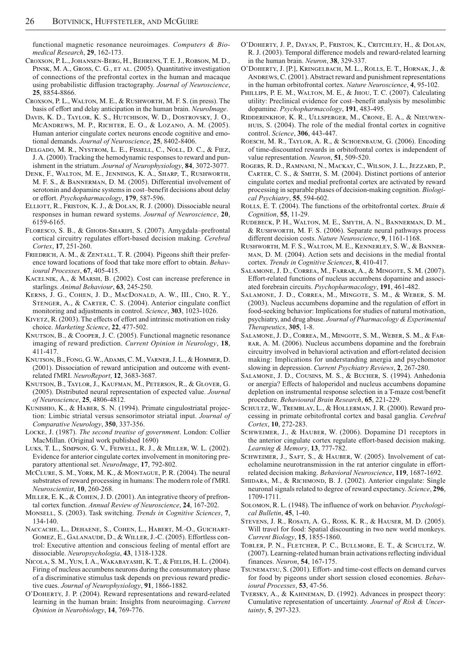functional magnetic resonance neuroimages. *Computers & Biomedical Research*, **29**, 162-173.

- Croxson, P. L., Johansen-Berg, H., Behrens, T. E. J., Robson, M. D., PINSK, M. A., GROSS, C. G., ET AL. (2005). Quantitative investigation of connections of the prefrontal cortex in the human and macaque using probabilistic diffusion tractography. *Journal of Neuroscience*, **25**, 8854-8866.
- Croxson, P. L., Walton, M. E., & Rushworth, M. F. S. (in press). The basis of effort and delay anticipation in the human brain. *NeuroImage*.
- Davis, K. D., Taylor, K. S., Hutchison, W. D., Dostrovsky, J. O., McAndrews, M. P., Richter, E. O., & Lozano, A. M. (2005). Human anterior cingulate cortex neurons encode cognitive and emotional demands. *Journal of Neuroscience*, **25**, 8402-8406.
- Delgado, M. R., Nystrom, L. E., Fissell, C., Noll, D. C., & Fiez, J. A. (2000). Tracking the hemodynamic responses to reward and punishment in the striatum. *Journal of Neurophysiology*, **84**, 3072-3077.
- Denk, F., Walton, M. E., Jennings, K. A., Sharp, T., Rushworth, M. F. S., & Bannerman, D. M. (2005). Differential involvement of serotonin and dopamine systems in cost–benefit decisions about delay or effort. *Psychopharmacology*, **179**, 587-596.
- Elliott, R., Friston, K. J., & Dolan, R. J. (2000). Dissociable neural responses in human reward systems. *Journal of Neuroscience*, **20**, 6159-6165.
- FLORESCO, S. B., & GHODS-SHARIFI, S. (2007). Amygdala-prefrontal cortical circuitry regulates effort-based decision making. *Cerebral Cortex*, **17**, 251-260.
- FRIEDRICH, A. M., & ZENTALL, T. R. (2004). Pigeons shift their preference toward locations of food that take more effort to obtain. *Behavioural Processes*, **67**, 405-415.
- Kacelnik, A., & Marsh, B. (2002). Cost can increase preference in starlings. *Animal Behaviour*, **63**, 245-250.
- Kerns, J. G., Cohen, J. D., MacDonald, A. W., III., Cho, R. Y., Stenger, A., & Carter, C. S. (2004). Anterior cingulate conflict monitoring and adjustments in control. *Science*, **303**, 1023-1026.
- KIVETZ, R. (2003). The effects of effort and intrinsic motivation on risky choice. *Marketing Science*, **22**, 477-502.
- KNUTSON, B., & COOPER, J. C. (2005). Functional magnetic resonance imaging of reward prediction. *Current Opinion in Neurology*, **18**, 411-417.
- Knutson, B., Fong, G. W., Adams, C. M., Varner, J. L., & Hommer, D. (2001). Dissociation of reward anticipation and outcome with eventrelated fMRI. *NeuroReport*, **12**, 3683-3687.
- Knutson, B., Taylor, J., Kaufman, M., Peterson, R., & Glover, G. (2005). Distributed neural representation of expected value. *Journal of Neuroscience*, **25**, 4806-4812.
- Kunishio, K., & Haber, S. N. (1994). Primate cingulostriatal projection: Limbic striatal versus sensorimotor striatal input. *Journal of Comparative Neurology*, **350**, 337-356.
- Locke, J. (1987). *The second treatise of government*. London: Collier MacMillan. (Original work published 1690)
- Luks, T. L., Simpson, G. V., Feiwell, R. J., & Miller, W. L. (2002). Evidence for anterior cingulate cortex involvement in monitoring preparatory attentional set. *NeuroImage*, **17**, 792-802.
- McClure, S. M., York, M. K., & Montague, P. R. (2004). The neural substrates of reward processing in humans: The modern role of fMRI. *Neuroscientist*, **10**, 260-268.
- MILLER, E. K., & Сонем, J. D. (2001). An integrative theory of prefrontal cortex function. *Annual Review of Neuroscience*, **24**, 167-202.
- Monsell, S. (2003). Task switching. *Trends in Cognitive Sciences*, **7**, 134-140.
- Naccache, L., Dehaene, S., Cohen, L., Habert, M.-O., Guichart-Gomez, E., Galanaude, D., & Willer, J.-C. (2005). Effortless control: Executive attention and conscious feeling of mental effort are dissociable. *Neuropsychologia*, **43**, 1318-1328.
- Nicola, S. M., Yun, I. A., Wakabayashi, K. T., & Fields, H. L. (2004). Firing of nucleus accumbens neurons during the consummatory phase of a discriminative stimulus task depends on previous reward predictive cues. *Journal of Neurophysiology*, **91**, 1866-1882.
- O'Doherty, J. P. (2004). Reward representations and reward-related learning in the human brain: Insights from neuroimaging. *Current Opinion in Neurobiology*, **14**, 769-776.
- O'Doherty, J. P., Dayan, P., Friston, K., Critchley, H., & Dolan, R. J. (2003). Temporal difference models and reward-related learning in the human brain. *Neuron*, **38**, 329-337.
- O'Doherty, J. [P.], Kringelbach, M. L., Rolls, E. T., Hornak, J., & ANDREWS, C. (2001). Abstract reward and punishment representations in the human orbitofrontal cortex. *Nature Neuroscience*, **4**, 95-102.
- PHILLIPS, P. E. M., WALTON, M. E., & JHOU, T. C. (2007). Calculating utility: Preclinical evidence for cost–benefit analysis by mesolimbic dopamine. *Psychopharmacology*, **191**, 483-495.
- Ridderinkhof, K. R., Ullsperger, M., Crone, E. A., & Nieuwenhuis, S. (2004). The role of the medial frontal cortex in cognitive control. *Science*, **306**, 443-447.
- Roesch, M. R., Taylor, A. R., & Schoenbaum, G. (2006). Encoding of time-discounted rewards in orbitofrontal cortex is independent of value representation. *Neuron*, **51**, 509-520.
- Rogers, R. D., Ramnani, N., Mackay, C., Wilson, J. L., Jezzard, P., Carter, C. S., & Smith, S. M. (2004). Distinct portions of anterior cingulate cortex and medial prefrontal cortex are activated by reward processing in separable phases of decision-making cognition. *Biological Psychiatry*, **55**, 594-602.
- Rolls, E. T. (2004). The functions of the orbitofrontal cortex. *Brain & Cognition*, **55**, 11-29.
- Rudebeck, P. H., Walton, M. E., Smyth, A. N., Bannerman, D. M., & Rushworth, M. F. S. (2006). Separate neural pathways process different decision costs. *Nature Neuroscience*, **9**, 1161-1168.
- Rushworth, M. F. S., Walton, M. E., Kennerley, S. W., & Bannerman, D. M. (2004). Action sets and decisions in the medial frontal cortex. *Trends in Cognitive Sciences*, **8**, 410-417.
- Salamone, J. D., Correa, M., Farrar, A., & Mingote, S. M. (2007). Effort-related functions of nucleus accumbens dopamine and associated forebrain circuits. *Psychopharmacology*, **191**, 461-482.
- Salamone, J. D., Correa, M., Mingote, S. M., & Weber, S. M. (2003). Nucleus accumbens dopamine and the regulation of effort in food-seeking behavior: Implications for studies of natural motivation, psychiatry, and drug abuse. *Journal of Pharmacology & Experimental Therapeutics*, **305**, 1-8.
- Salamone, J. D., Correa, M., Mingote, S. M., Weber, S. M., & Farrar, A. M. (2006). Nucleus accumbens dopamine and the forebrain circuitry involved in behavioral activation and effort-related decision making: Implications for understanding anergia and psychomotor slowing in depression. *Current Psychiatry Reviews*, **2**, 267-280.
- Salamone, J. D., Cousins, M. S., & Bucher, S. (1994). Anhedonia or anergia? Effects of haloperidol and nucleus accumbens dopamine depletion on instrumental response selection in a T-maze cost/benefit procedure. *Behavioural Brain Research*, **65**, 221-229.
- SCHULTZ, W., TREMBLAY, L., & HOLLERMAN, J. R. (2000). Reward processing in primate orbitofrontal cortex and basal ganglia. *Cerebral Cortex*, **10**, 272-283.
- SCHWEIMER, J., & HAUBER, W. (2006). Dopamine D1 receptors in the anterior cingulate cortex regulate effort-based decision making. *Learning & Memory*, **13**, 777-782.
- SCHWEIMER, J., SAFT, S., & HAUBER, W. (2005). Involvement of catecholamine neurotransmission in the rat anterior cingulate in effortrelated decision making. *Behavioral Neuroscience*, **119**, 1687-1692.
- SHIDARA, M., & RICHMOND, B. J. (2002). Anterior cingulate: Single neuronal signals related to degree of reward expectancy. *Science*, **296**, 1709-1711.
- Solomon, R. L. (1948). The influence of work on behavior. *Psychological Bulletin*, **45**, 1-40.
- Stevens, J. R., Rosati, A. G., Ross, K. R., & Hauser, M. D. (2005). Will travel for food: Spatial discounting in two new world monkeys. *Current Biology*, **15**, 1855-1860.
- Tobler, P. N., Fletcher, P. C., Bullmore, E. T., & Schultz, W. (2007). Learning-related human brain activations reflecting individual finances. *Neuron*, **54**, 167-175.
- Tsunematsu, S. (2001). Effort- and time-cost effects on demand curves for food by pigeons under short session closed economies. *Behavioural Processes*, **53**, 47-56.
- Tversky, A., & Kahneman, D. (1992). Advances in prospect theory: Cumulative representation of uncertainty. *Journal of Risk & Uncertainty*, **5**, 297-323.